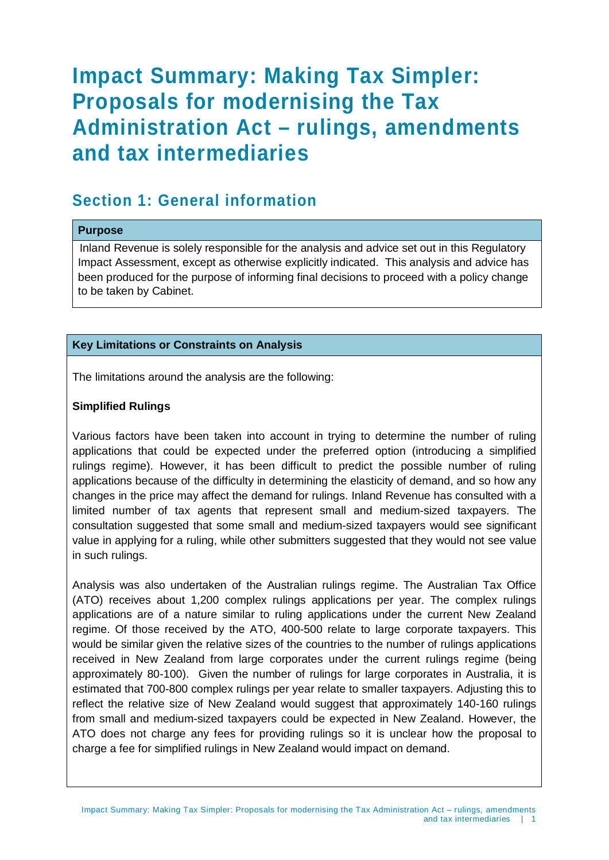# **Impact Summary: Making Tax Simpler: Proposals for modernising the Tax Administration Act – rulings, amendments and tax intermediaries**

### **Section 1: General information**

#### **Purpose**

Inland Revenue is solely responsible for the analysis and advice set out in this Regulatory Impact Assessment, except as otherwise explicitly indicated. This analysis and advice has been produced for the purpose of informing final decisions to proceed with a policy change to be taken by Cabinet.

#### **Key Limitations or Constraints on Analysis**

The limitations around the analysis are the following:

#### **Simplified Rulings**

Various factors have been taken into account in trying to determine the number of ruling applications that could be expected under the preferred option (introducing a simplified rulings regime). However, it has been difficult to predict the possible number of ruling applications because of the difficulty in determining the elasticity of demand, and so how any changes in the price may affect the demand for rulings. Inland Revenue has consulted with a limited number of tax agents that represent small and medium-sized taxpayers. The consultation suggested that some small and medium-sized taxpayers would see significant value in applying for a ruling, while other submitters suggested that they would not see value in such rulings.

Analysis was also undertaken of the Australian rulings regime. The Australian Tax Office (ATO) receives about 1,200 complex rulings applications per year. The complex rulings applications are of a nature similar to ruling applications under the current New Zealand regime. Of those received by the ATO, 400-500 relate to large corporate taxpayers. This would be similar given the relative sizes of the countries to the number of rulings applications received in New Zealand from large corporates under the current rulings regime (being approximately 80-100). Given the number of rulings for large corporates in Australia, it is estimated that 700-800 complex rulings per year relate to smaller taxpayers. Adjusting this to reflect the relative size of New Zealand would suggest that approximately 140-160 rulings from small and medium-sized taxpayers could be expected in New Zealand. However, the ATO does not charge any fees for providing rulings so it is unclear how the proposal to charge a fee for simplified rulings in New Zealand would impact on demand.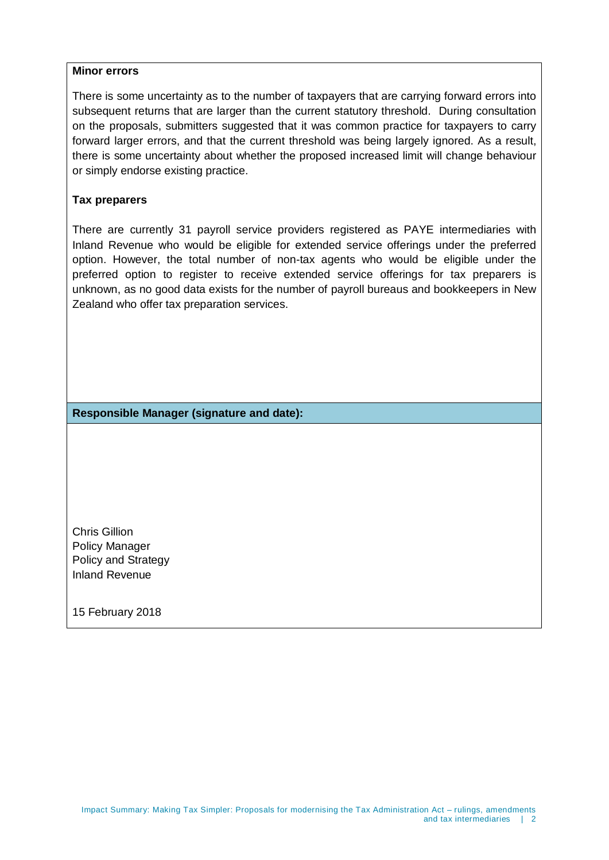#### **Minor errors**

There is some uncertainty as to the number of taxpayers that are carrying forward errors into subsequent returns that are larger than the current statutory threshold. During consultation on the proposals, submitters suggested that it was common practice for taxpayers to carry forward larger errors, and that the current threshold was being largely ignored. As a result, there is some uncertainty about whether the proposed increased limit will change behaviour or simply endorse existing practice.

#### **Tax preparers**

There are currently 31 payroll service providers registered as PAYE intermediaries with Inland Revenue who would be eligible for extended service offerings under the preferred option. However, the total number of non-tax agents who would be eligible under the preferred option to register to receive extended service offerings for tax preparers is unknown, as no good data exists for the number of payroll bureaus and bookkeepers in New Zealand who offer tax preparation services.

**Responsible Manager (signature and date):**

Chris Gillion Policy Manager Policy and Strategy Inland Revenue

15 February 2018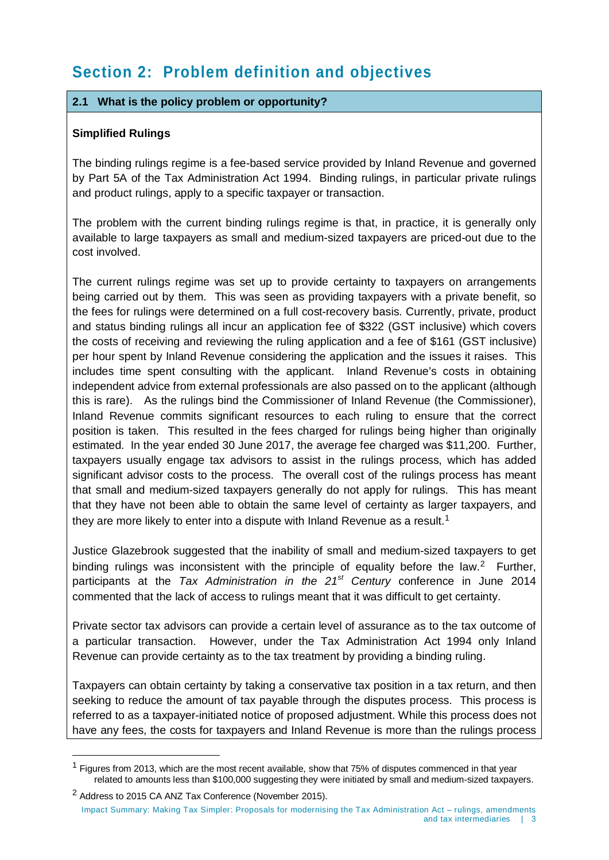# **Section 2: Problem definition and objectives**

#### **2.1 What is the policy problem or opportunity?**

#### **Simplified Rulings**

-

The binding rulings regime is a fee-based service provided by Inland Revenue and governed by Part 5A of the Tax Administration Act 1994. Binding rulings, in particular private rulings and product rulings, apply to a specific taxpayer or transaction.

The problem with the current binding rulings regime is that, in practice, it is generally only available to large taxpayers as small and medium-sized taxpayers are priced-out due to the cost involved.

The current rulings regime was set up to provide certainty to taxpayers on arrangements being carried out by them. This was seen as providing taxpayers with a private benefit, so the fees for rulings were determined on a full cost-recovery basis. Currently, private, product and status binding rulings all incur an application fee of \$322 (GST inclusive) which covers the costs of receiving and reviewing the ruling application and a fee of \$161 (GST inclusive) per hour spent by Inland Revenue considering the application and the issues it raises. This includes time spent consulting with the applicant. Inland Revenue's costs in obtaining independent advice from external professionals are also passed on to the applicant (although this is rare). As the rulings bind the Commissioner of Inland Revenue (the Commissioner), Inland Revenue commits significant resources to each ruling to ensure that the correct position is taken. This resulted in the fees charged for rulings being higher than originally estimated. In the year ended 30 June 2017, the average fee charged was \$11,200. Further, taxpayers usually engage tax advisors to assist in the rulings process, which has added significant advisor costs to the process. The overall cost of the rulings process has meant that small and medium-sized taxpayers generally do not apply for rulings. This has meant that they have not been able to obtain the same level of certainty as larger taxpayers, and they are more likely to enter into a dispute with Inland Revenue as a result.<sup>1</sup>

Justice Glazebrook suggested that the inability of small and medium-sized taxpayers to get binding rulings was inconsistent with the principle of equality before the law.<sup>[2](#page-2-1)</sup> Further, participants at the *Tax Administration in the 21st Century* conference in June 2014 commented that the lack of access to rulings meant that it was difficult to get certainty.

Private sector tax advisors can provide a certain level of assurance as to the tax outcome of a particular transaction. However, under the Tax Administration Act 1994 only Inland Revenue can provide certainty as to the tax treatment by providing a binding ruling.

Taxpayers can obtain certainty by taking a conservative tax position in a tax return, and then seeking to reduce the amount of tax payable through the disputes process. This process is referred to as a taxpayer-initiated notice of proposed adjustment. While this process does not have any fees, the costs for taxpayers and Inland Revenue is more than the rulings process

<span id="page-2-0"></span> $<sup>1</sup>$  Figures from 2013, which are the most recent available, show that 75% of disputes commenced in that year</sup> related to amounts less than \$100,000 suggesting they were initiated by small and medium-sized taxpayers.

<span id="page-2-1"></span><sup>&</sup>lt;sup>2</sup> Address to 2015 CA ANZ Tax Conference (November 2015). Impact Summary: Making Tax Simpler: Proposals for modernising the Tax Administration Act – rulings, amendments and tax intermediaries | 3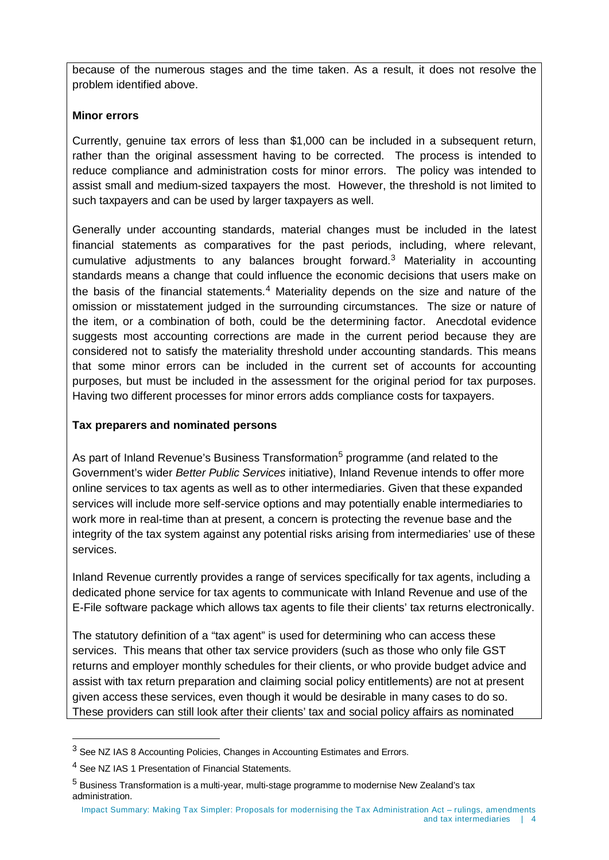because of the numerous stages and the time taken. As a result, it does not resolve the problem identified above.

#### **Minor errors**

Currently, genuine tax errors of less than \$1,000 can be included in a subsequent return, rather than the original assessment having to be corrected. The process is intended to reduce compliance and administration costs for minor errors. The policy was intended to assist small and medium-sized taxpayers the most. However, the threshold is not limited to such taxpayers and can be used by larger taxpayers as well.

Generally under accounting standards, material changes must be included in the latest financial statements as comparatives for the past periods, including, where relevant, cumulative adjustments to any balances brought forward.<sup>[3](#page-3-0)</sup> Materiality in accounting standards means a change that could influence the economic decisions that users make on the basis of the financial statements.<sup>[4](#page-3-1)</sup> Materiality depends on the size and nature of the omission or misstatement judged in the surrounding circumstances. The size or nature of the item, or a combination of both, could be the determining factor. Anecdotal evidence suggests most accounting corrections are made in the current period because they are considered not to satisfy the materiality threshold under accounting standards. This means that some minor errors can be included in the current set of accounts for accounting purposes, but must be included in the assessment for the original period for tax purposes. Having two different processes for minor errors adds compliance costs for taxpayers.

#### **Tax preparers and nominated persons**

As part of Inland Revenue's Business Transformation<sup>[5](#page-3-2)</sup> programme (and related to the Government's wider *Better Public Services* initiative), Inland Revenue intends to offer more online services to tax agents as well as to other intermediaries. Given that these expanded services will include more self-service options and may potentially enable intermediaries to work more in real-time than at present, a concern is protecting the revenue base and the integrity of the tax system against any potential risks arising from intermediaries' use of these services.

Inland Revenue currently provides a range of services specifically for tax agents, including a dedicated phone service for tax agents to communicate with Inland Revenue and use of the E-File software package which allows tax agents to file their clients' tax returns electronically.

The statutory definition of a "tax agent" is used for determining who can access these services. This means that other tax service providers (such as those who only file GST returns and employer monthly schedules for their clients, or who provide budget advice and assist with tax return preparation and claiming social policy entitlements) are not at present given access these services, even though it would be desirable in many cases to do so. These providers can still look after their clients' tax and social policy affairs as nominated

 $\overline{a}$ 

<span id="page-3-0"></span><sup>&</sup>lt;sup>3</sup> See NZ IAS 8 Accounting Policies, Changes in Accounting Estimates and Errors.

<span id="page-3-1"></span><sup>4</sup> See NZ IAS 1 Presentation of Financial Statements.

<span id="page-3-2"></span> $5$  Business Transformation is a multi-year, multi-stage programme to modernise New Zealand's tax administration.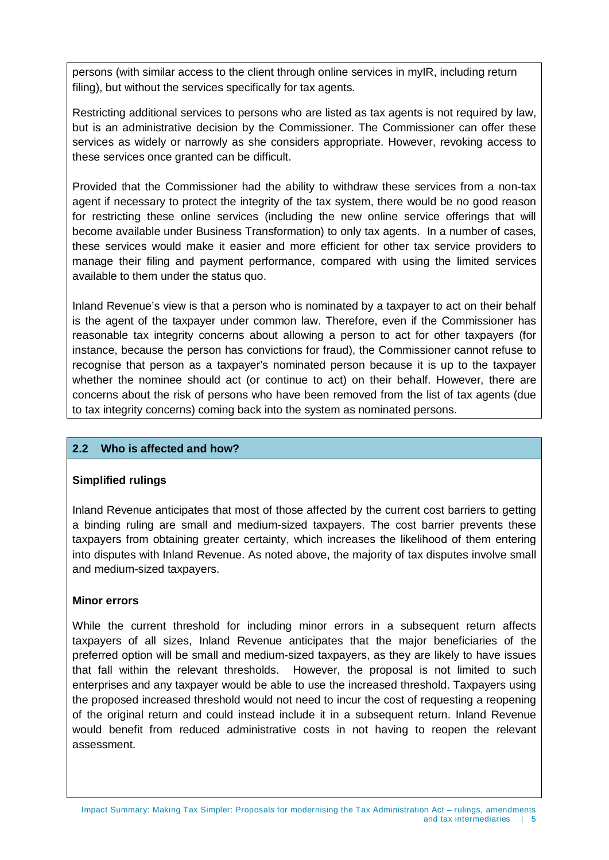persons (with similar access to the client through online services in myIR, including return filing), but without the services specifically for tax agents.

Restricting additional services to persons who are listed as tax agents is not required by law, but is an administrative decision by the Commissioner. The Commissioner can offer these services as widely or narrowly as she considers appropriate. However, revoking access to these services once granted can be difficult.

Provided that the Commissioner had the ability to withdraw these services from a non-tax agent if necessary to protect the integrity of the tax system, there would be no good reason for restricting these online services (including the new online service offerings that will become available under Business Transformation) to only tax agents. In a number of cases, these services would make it easier and more efficient for other tax service providers to manage their filing and payment performance, compared with using the limited services available to them under the status quo.

Inland Revenue's view is that a person who is nominated by a taxpayer to act on their behalf is the agent of the taxpayer under common law. Therefore, even if the Commissioner has reasonable tax integrity concerns about allowing a person to act for other taxpayers (for instance, because the person has convictions for fraud), the Commissioner cannot refuse to recognise that person as a taxpayer's nominated person because it is up to the taxpayer whether the nominee should act (or continue to act) on their behalf. However, there are concerns about the risk of persons who have been removed from the list of tax agents (due to tax integrity concerns) coming back into the system as nominated persons.

#### **2.2 Who is affected and how?**

#### **Simplified rulings**

Inland Revenue anticipates that most of those affected by the current cost barriers to getting a binding ruling are small and medium-sized taxpayers. The cost barrier prevents these taxpayers from obtaining greater certainty, which increases the likelihood of them entering into disputes with Inland Revenue. As noted above, the majority of tax disputes involve small and medium-sized taxpayers.

#### **Minor errors**

While the current threshold for including minor errors in a subsequent return affects taxpayers of all sizes, Inland Revenue anticipates that the major beneficiaries of the preferred option will be small and medium-sized taxpayers, as they are likely to have issues that fall within the relevant thresholds. However, the proposal is not limited to such enterprises and any taxpayer would be able to use the increased threshold. Taxpayers using the proposed increased threshold would not need to incur the cost of requesting a reopening of the original return and could instead include it in a subsequent return. Inland Revenue would benefit from reduced administrative costs in not having to reopen the relevant assessment.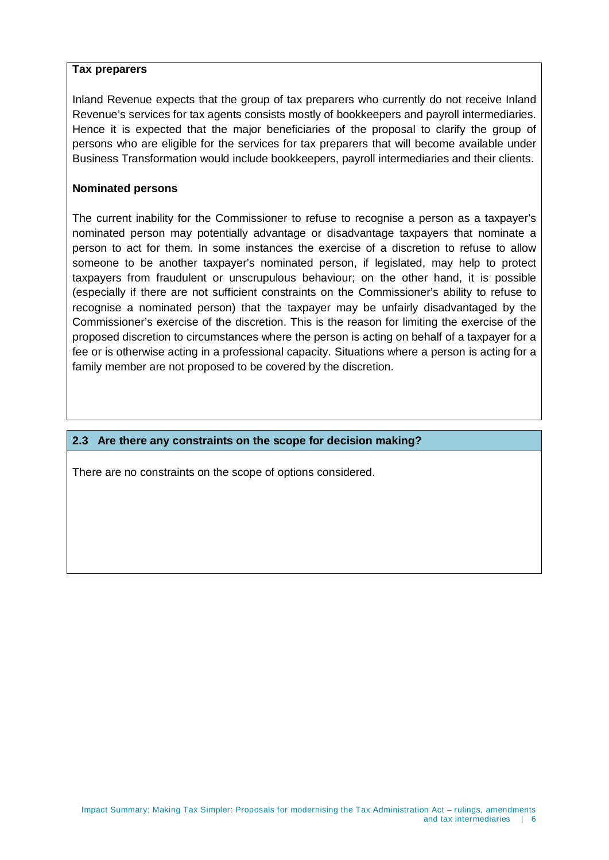#### **Tax preparers**

Inland Revenue expects that the group of tax preparers who currently do not receive Inland Revenue's services for tax agents consists mostly of bookkeepers and payroll intermediaries. Hence it is expected that the major beneficiaries of the proposal to clarify the group of persons who are eligible for the services for tax preparers that will become available under Business Transformation would include bookkeepers, payroll intermediaries and their clients.

#### **Nominated persons**

The current inability for the Commissioner to refuse to recognise a person as a taxpayer's nominated person may potentially advantage or disadvantage taxpayers that nominate a person to act for them. In some instances the exercise of a discretion to refuse to allow someone to be another taxpayer's nominated person, if legislated, may help to protect taxpayers from fraudulent or unscrupulous behaviour; on the other hand, it is possible (especially if there are not sufficient constraints on the Commissioner's ability to refuse to recognise a nominated person) that the taxpayer may be unfairly disadvantaged by the Commissioner's exercise of the discretion. This is the reason for limiting the exercise of the proposed discretion to circumstances where the person is acting on behalf of a taxpayer for a fee or is otherwise acting in a professional capacity. Situations where a person is acting for a family member are not proposed to be covered by the discretion.

#### **2.3 Are there any constraints on the scope for decision making?**

There are no constraints on the scope of options considered.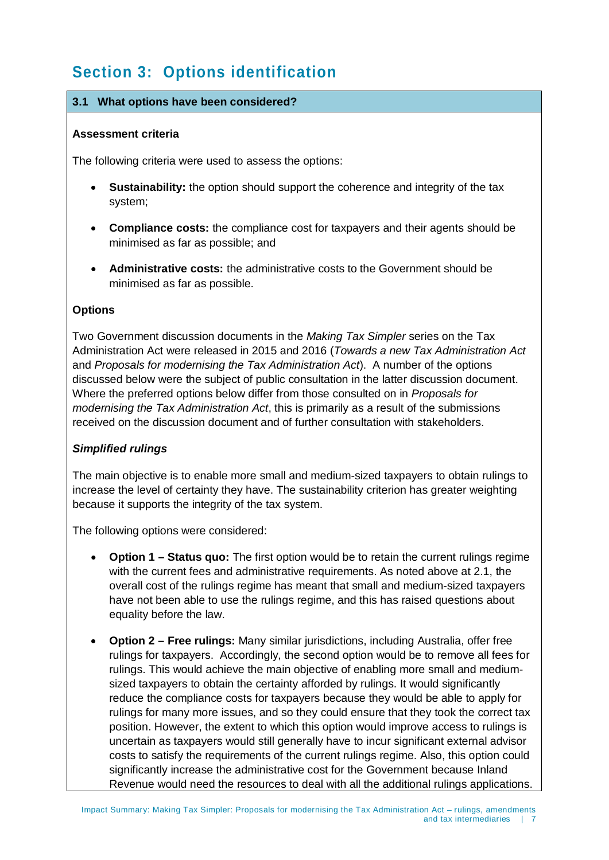# **Section 3: Options identification**

#### **3.1 What options have been considered?**

#### **Assessment criteria**

The following criteria were used to assess the options:

- **Sustainability:** the option should support the coherence and integrity of the tax system;
- **Compliance costs:** the compliance cost for taxpayers and their agents should be minimised as far as possible; and
- **Administrative costs:** the administrative costs to the Government should be minimised as far as possible.

#### **Options**

Two Government discussion documents in the *Making Tax Simpler* series on the Tax Administration Act were released in 2015 and 2016 (*Towards a new Tax Administration Act*  and *Proposals for modernising the Tax Administration Act*). A number of the options discussed below were the subject of public consultation in the latter discussion document. Where the preferred options below differ from those consulted on in *Proposals for modernising the Tax Administration Act*, this is primarily as a result of the submissions received on the discussion document and of further consultation with stakeholders.

#### *Simplified rulings*

The main objective is to enable more small and medium-sized taxpayers to obtain rulings to increase the level of certainty they have. The sustainability criterion has greater weighting because it supports the integrity of the tax system.

The following options were considered:

- **Option 1 – Status quo:** The first option would be to retain the current rulings regime with the current fees and administrative requirements. As noted above at 2.1, the overall cost of the rulings regime has meant that small and medium-sized taxpayers have not been able to use the rulings regime, and this has raised questions about equality before the law.
- **Option 2 – Free rulings:** Many similar jurisdictions, including Australia, offer free rulings for taxpayers. Accordingly, the second option would be to remove all fees for rulings. This would achieve the main objective of enabling more small and mediumsized taxpayers to obtain the certainty afforded by rulings. It would significantly reduce the compliance costs for taxpayers because they would be able to apply for rulings for many more issues, and so they could ensure that they took the correct tax position. However, the extent to which this option would improve access to rulings is uncertain as taxpayers would still generally have to incur significant external advisor costs to satisfy the requirements of the current rulings regime. Also, this option could significantly increase the administrative cost for the Government because Inland Revenue would need the resources to deal with all the additional rulings applications.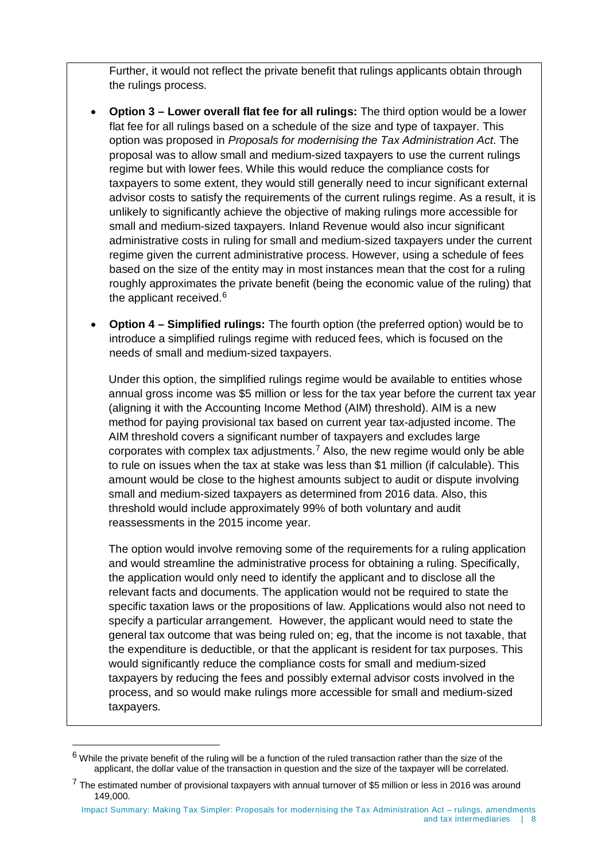Further, it would not reflect the private benefit that rulings applicants obtain through the rulings process.

- **Option 3 – Lower overall flat fee for all rulings:** The third option would be a lower flat fee for all rulings based on a schedule of the size and type of taxpayer. This option was proposed in *Proposals for modernising the Tax Administration Act*. The proposal was to allow small and medium-sized taxpayers to use the current rulings regime but with lower fees. While this would reduce the compliance costs for taxpayers to some extent, they would still generally need to incur significant external advisor costs to satisfy the requirements of the current rulings regime. As a result, it is unlikely to significantly achieve the objective of making rulings more accessible for small and medium-sized taxpayers. Inland Revenue would also incur significant administrative costs in ruling for small and medium-sized taxpayers under the current regime given the current administrative process. However, using a schedule of fees based on the size of the entity may in most instances mean that the cost for a ruling roughly approximates the private benefit (being the economic value of the ruling) that the applicant received.<sup>[6](#page-7-0)</sup>
- **Option 4 – Simplified rulings:** The fourth option (the preferred option) would be to introduce a simplified rulings regime with reduced fees, which is focused on the needs of small and medium-sized taxpayers.

Under this option, the simplified rulings regime would be available to entities whose annual gross income was \$5 million or less for the tax year before the current tax year (aligning it with the Accounting Income Method (AIM) threshold). AIM is a new method for paying provisional tax based on current year tax-adjusted income. The AIM threshold covers a significant number of taxpayers and excludes large corporates with complex tax adjustments.<sup>[7](#page-7-1)</sup> Also, the new regime would only be able to rule on issues when the tax at stake was less than \$1 million (if calculable). This amount would be close to the highest amounts subject to audit or dispute involving small and medium-sized taxpayers as determined from 2016 data. Also, this threshold would include approximately 99% of both voluntary and audit reassessments in the 2015 income year.

The option would involve removing some of the requirements for a ruling application and would streamline the administrative process for obtaining a ruling. Specifically, the application would only need to identify the applicant and to disclose all the relevant facts and documents. The application would not be required to state the specific taxation laws or the propositions of law. Applications would also not need to specify a particular arrangement. However, the applicant would need to state the general tax outcome that was being ruled on; eg, that the income is not taxable, that the expenditure is deductible, or that the applicant is resident for tax purposes. This would significantly reduce the compliance costs for small and medium-sized taxpayers by reducing the fees and possibly external advisor costs involved in the process, and so would make rulings more accessible for small and medium-sized taxpayers.

 $\overline{a}$ 

<span id="page-7-0"></span> $6$  While the private benefit of the ruling will be a function of the ruled transaction rather than the size of the applicant, the dollar value of the transaction in question and the size of the taxpayer will be correlated.

<span id="page-7-1"></span> $7$  The estimated number of provisional taxpayers with annual turnover of \$5 million or less in 2016 was around 149,000.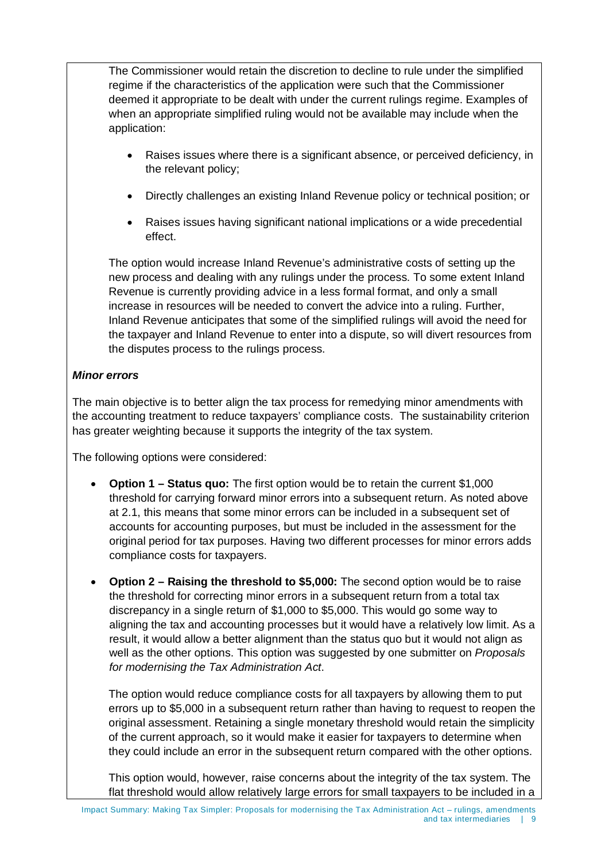The Commissioner would retain the discretion to decline to rule under the simplified regime if the characteristics of the application were such that the Commissioner deemed it appropriate to be dealt with under the current rulings regime. Examples of when an appropriate simplified ruling would not be available may include when the application:

- Raises issues where there is a significant absence, or perceived deficiency, in the relevant policy;
- Directly challenges an existing Inland Revenue policy or technical position; or
- Raises issues having significant national implications or a wide precedential effect.

The option would increase Inland Revenue's administrative costs of setting up the new process and dealing with any rulings under the process. To some extent Inland Revenue is currently providing advice in a less formal format, and only a small increase in resources will be needed to convert the advice into a ruling. Further, Inland Revenue anticipates that some of the simplified rulings will avoid the need for the taxpayer and Inland Revenue to enter into a dispute, so will divert resources from the disputes process to the rulings process.

#### *Minor errors*

The main objective is to better align the tax process for remedying minor amendments with the accounting treatment to reduce taxpayers' compliance costs. The sustainability criterion has greater weighting because it supports the integrity of the tax system.

The following options were considered:

- **Option 1 – Status quo:** The first option would be to retain the current \$1,000 threshold for carrying forward minor errors into a subsequent return. As noted above at 2.1, this means that some minor errors can be included in a subsequent set of accounts for accounting purposes, but must be included in the assessment for the original period for tax purposes. Having two different processes for minor errors adds compliance costs for taxpayers.
- **Option 2 – Raising the threshold to \$5,000:** The second option would be to raise the threshold for correcting minor errors in a subsequent return from a total tax discrepancy in a single return of \$1,000 to \$5,000. This would go some way to aligning the tax and accounting processes but it would have a relatively low limit. As a result, it would allow a better alignment than the status quo but it would not align as well as the other options. This option was suggested by one submitter on *Proposals for modernising the Tax Administration Act*.

The option would reduce compliance costs for all taxpayers by allowing them to put errors up to \$5,000 in a subsequent return rather than having to request to reopen the original assessment. Retaining a single monetary threshold would retain the simplicity of the current approach, so it would make it easier for taxpayers to determine when they could include an error in the subsequent return compared with the other options.

This option would, however, raise concerns about the integrity of the tax system. The flat threshold would allow relatively large errors for small taxpayers to be included in a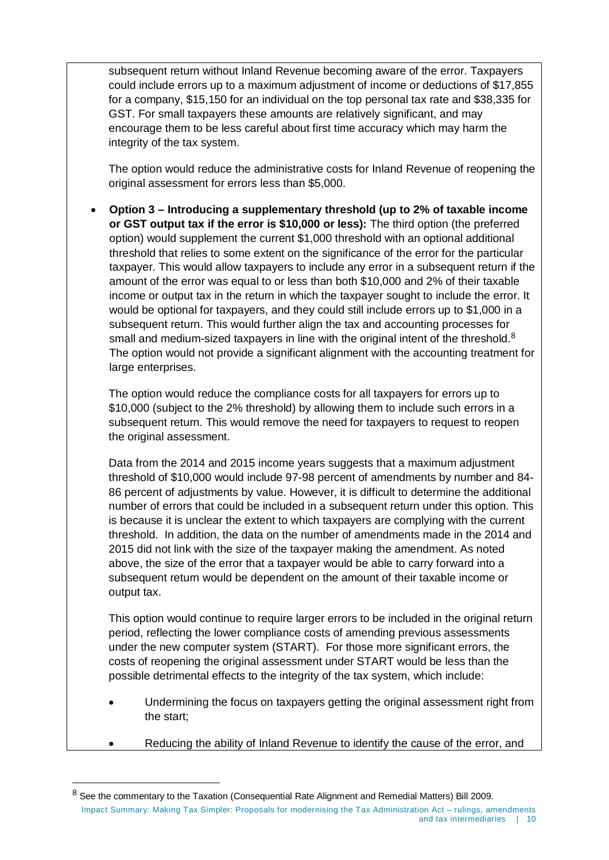subsequent return without Inland Revenue becoming aware of the error. Taxpayers could include errors up to a maximum adjustment of income or deductions of \$17,855 for a company, \$15,150 for an individual on the top personal tax rate and \$38,335 for GST. For small taxpayers these amounts are relatively significant, and may encourage them to be less careful about first time accuracy which may harm the integrity of the tax system.

The option would reduce the administrative costs for Inland Revenue of reopening the original assessment for errors less than \$5,000.

• **Option 3 – Introducing a supplementary threshold (up to 2% of taxable income or GST output tax if the error is \$10,000 or less):** The third option (the preferred option) would supplement the current \$1,000 threshold with an optional additional threshold that relies to some extent on the significance of the error for the particular taxpayer. This would allow taxpayers to include any error in a subsequent return if the amount of the error was equal to or less than both \$10,000 and 2% of their taxable income or output tax in the return in which the taxpayer sought to include the error. It would be optional for taxpayers, and they could still include errors up to \$1,000 in a subsequent return. This would further align the tax and accounting processes for small and medium-sized taxpayers in line with the original intent of the threshold. $8$ The option would not provide a significant alignment with the accounting treatment for large enterprises.

The option would reduce the compliance costs for all taxpayers for errors up to \$10,000 (subject to the 2% threshold) by allowing them to include such errors in a subsequent return. This would remove the need for taxpayers to request to reopen the original assessment.

Data from the 2014 and 2015 income years suggests that a maximum adjustment threshold of \$10,000 would include 97-98 percent of amendments by number and 84- 86 percent of adjustments by value. However, it is difficult to determine the additional number of errors that could be included in a subsequent return under this option. This is because it is unclear the extent to which taxpayers are complying with the current threshold. In addition, the data on the number of amendments made in the 2014 and 2015 did not link with the size of the taxpayer making the amendment. As noted above, the size of the error that a taxpayer would be able to carry forward into a subsequent return would be dependent on the amount of their taxable income or output tax.

This option would continue to require larger errors to be included in the original return period, reflecting the lower compliance costs of amending previous assessments under the new computer system (START). For those more significant errors, the costs of reopening the original assessment under START would be less than the possible detrimental effects to the integrity of the tax system, which include:

- Undermining the focus on taxpayers getting the original assessment right from the start;
	- Reducing the ability of Inland Revenue to identify the cause of the error, and

-

<span id="page-9-0"></span><sup>8</sup> See the commentary to the Taxation (Consequential Rate Alignment and Remedial Matters) Bill 2009. Impact Summary: Making Tax Simpler: Proposals for modernising the Tax Administration Act – rulings, amendments and tax intermediaries | 10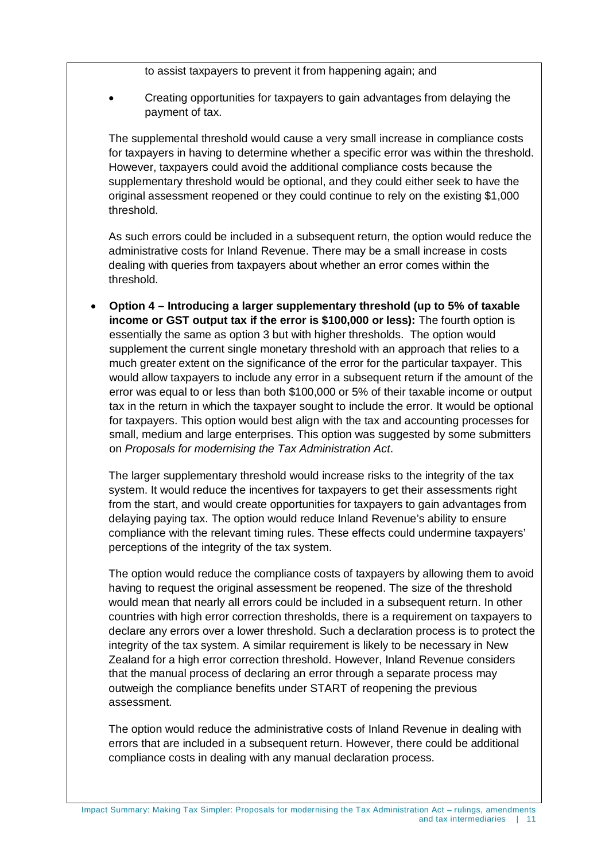to assist taxpayers to prevent it from happening again; and

• Creating opportunities for taxpayers to gain advantages from delaying the payment of tax.

The supplemental threshold would cause a very small increase in compliance costs for taxpayers in having to determine whether a specific error was within the threshold. However, taxpayers could avoid the additional compliance costs because the supplementary threshold would be optional, and they could either seek to have the original assessment reopened or they could continue to rely on the existing \$1,000 threshold.

As such errors could be included in a subsequent return, the option would reduce the administrative costs for Inland Revenue. There may be a small increase in costs dealing with queries from taxpayers about whether an error comes within the threshold.

• **Option 4 – Introducing a larger supplementary threshold (up to 5% of taxable income or GST output tax if the error is \$100,000 or less):** The fourth option is essentially the same as option 3 but with higher thresholds. The option would supplement the current single monetary threshold with an approach that relies to a much greater extent on the significance of the error for the particular taxpayer. This would allow taxpayers to include any error in a subsequent return if the amount of the error was equal to or less than both \$100,000 or 5% of their taxable income or output tax in the return in which the taxpayer sought to include the error. It would be optional for taxpayers. This option would best align with the tax and accounting processes for small, medium and large enterprises. This option was suggested by some submitters on *Proposals for modernising the Tax Administration Act*.

The larger supplementary threshold would increase risks to the integrity of the tax system. It would reduce the incentives for taxpayers to get their assessments right from the start, and would create opportunities for taxpayers to gain advantages from delaying paying tax. The option would reduce Inland Revenue's ability to ensure compliance with the relevant timing rules. These effects could undermine taxpayers' perceptions of the integrity of the tax system.

The option would reduce the compliance costs of taxpayers by allowing them to avoid having to request the original assessment be reopened. The size of the threshold would mean that nearly all errors could be included in a subsequent return. In other countries with high error correction thresholds, there is a requirement on taxpayers to declare any errors over a lower threshold. Such a declaration process is to protect the integrity of the tax system. A similar requirement is likely to be necessary in New Zealand for a high error correction threshold. However, Inland Revenue considers that the manual process of declaring an error through a separate process may outweigh the compliance benefits under START of reopening the previous assessment.

The option would reduce the administrative costs of Inland Revenue in dealing with errors that are included in a subsequent return. However, there could be additional compliance costs in dealing with any manual declaration process.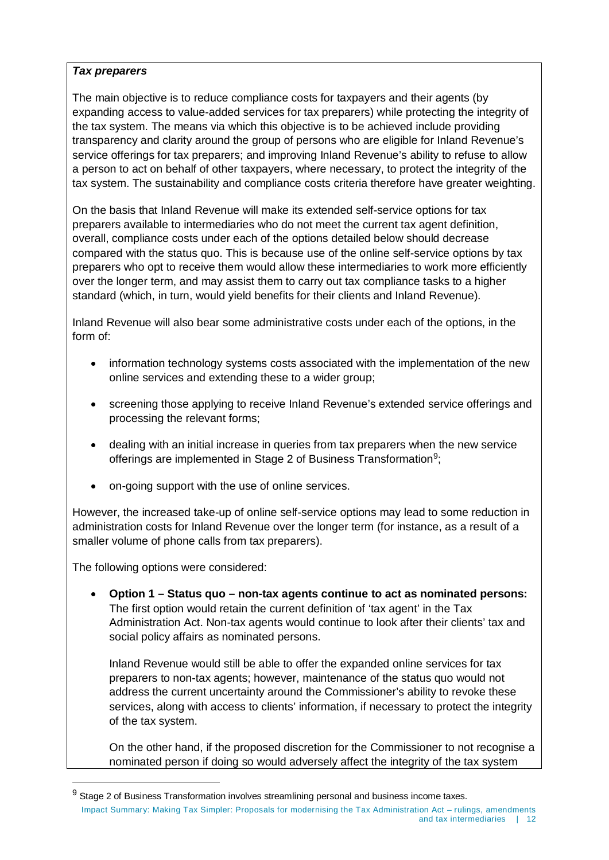#### *Tax preparers*

The main objective is to reduce compliance costs for taxpayers and their agents (by expanding access to value-added services for tax preparers) while protecting the integrity of the tax system. The means via which this objective is to be achieved include providing transparency and clarity around the group of persons who are eligible for Inland Revenue's service offerings for tax preparers; and improving Inland Revenue's ability to refuse to allow a person to act on behalf of other taxpayers, where necessary, to protect the integrity of the tax system. The sustainability and compliance costs criteria therefore have greater weighting.

On the basis that Inland Revenue will make its extended self-service options for tax preparers available to intermediaries who do not meet the current tax agent definition, overall, compliance costs under each of the options detailed below should decrease compared with the status quo. This is because use of the online self-service options by tax preparers who opt to receive them would allow these intermediaries to work more efficiently over the longer term, and may assist them to carry out tax compliance tasks to a higher standard (which, in turn, would yield benefits for their clients and Inland Revenue).

Inland Revenue will also bear some administrative costs under each of the options, in the form of:

- information technology systems costs associated with the implementation of the new online services and extending these to a wider group;
- screening those applying to receive Inland Revenue's extended service offerings and processing the relevant forms;
- dealing with an initial increase in queries from tax preparers when the new service offerings are implemented in Stage 2 of Business Transformation<sup>[9](#page-11-0)</sup>;
- on-going support with the use of online services.

However, the increased take-up of online self-service options may lead to some reduction in administration costs for Inland Revenue over the longer term (for instance, as a result of a smaller volume of phone calls from tax preparers).

The following options were considered:

-

• **Option 1 – Status quo – non-tax agents continue to act as nominated persons:** The first option would retain the current definition of 'tax agent' in the Tax Administration Act. Non-tax agents would continue to look after their clients' tax and social policy affairs as nominated persons.

Inland Revenue would still be able to offer the expanded online services for tax preparers to non-tax agents; however, maintenance of the status quo would not address the current uncertainty around the Commissioner's ability to revoke these services, along with access to clients' information, if necessary to protect the integrity of the tax system.

On the other hand, if the proposed discretion for the Commissioner to not recognise a nominated person if doing so would adversely affect the integrity of the tax system

<span id="page-11-0"></span> $9$  Stage 2 of Business Transformation involves streamlining personal and business income taxes. Impact Summary: Making Tax Simpler: Proposals for modernising the Tax Administration Act – rulings, amendments and tax intermediaries | 12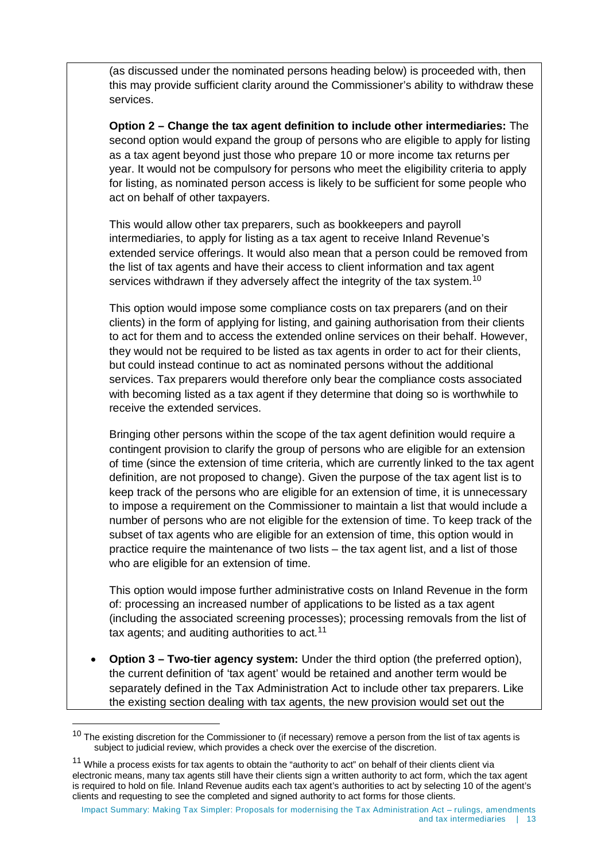(as discussed under the nominated persons heading below) is proceeded with, then this may provide sufficient clarity around the Commissioner's ability to withdraw these services.

**Option 2 – Change the tax agent definition to include other intermediaries:** The second option would expand the group of persons who are eligible to apply for listing as a tax agent beyond just those who prepare 10 or more income tax returns per year. It would not be compulsory for persons who meet the eligibility criteria to apply for listing, as nominated person access is likely to be sufficient for some people who act on behalf of other taxpayers.

This would allow other tax preparers, such as bookkeepers and payroll intermediaries, to apply for listing as a tax agent to receive Inland Revenue's extended service offerings. It would also mean that a person could be removed from the list of tax agents and have their access to client information and tax agent services withdrawn if they adversely affect the integrity of the tax system.<sup>[10](#page-12-0)</sup>

This option would impose some compliance costs on tax preparers (and on their clients) in the form of applying for listing, and gaining authorisation from their clients to act for them and to access the extended online services on their behalf. However, they would not be required to be listed as tax agents in order to act for their clients, but could instead continue to act as nominated persons without the additional services. Tax preparers would therefore only bear the compliance costs associated with becoming listed as a tax agent if they determine that doing so is worthwhile to receive the extended services.

Bringing other persons within the scope of the tax agent definition would require a contingent provision to clarify the group of persons who are eligible for an extension of time (since the extension of time criteria, which are currently linked to the tax agent definition, are not proposed to change). Given the purpose of the tax agent list is to keep track of the persons who are eligible for an extension of time, it is unnecessary to impose a requirement on the Commissioner to maintain a list that would include a number of persons who are not eligible for the extension of time. To keep track of the subset of tax agents who are eligible for an extension of time, this option would in practice require the maintenance of two lists – the tax agent list, and a list of those who are eligible for an extension of time.

This option would impose further administrative costs on Inland Revenue in the form of: processing an increased number of applications to be listed as a tax agent (including the associated screening processes); processing removals from the list of tax agents; and auditing authorities to act.<sup>[11](#page-12-1)</sup>

• **Option 3 – Two-tier agency system:** Under the third option (the preferred option), the current definition of 'tax agent' would be retained and another term would be separately defined in the Tax Administration Act to include other tax preparers. Like the existing section dealing with tax agents, the new provision would set out the

 $\overline{a}$ 

<span id="page-12-0"></span> $10$  The existing discretion for the Commissioner to (if necessary) remove a person from the list of tax agents is subject to judicial review, which provides a check over the exercise of the discretion.

<span id="page-12-1"></span> $11$  While a process exists for tax agents to obtain the "authority to act" on behalf of their clients client via electronic means, many tax agents still have their clients sign a written authority to act form, which the tax agent is required to hold on file. Inland Revenue audits each tax agent's authorities to act by selecting 10 of the agent's clients and requesting to see the completed and signed authority to act forms for those clients.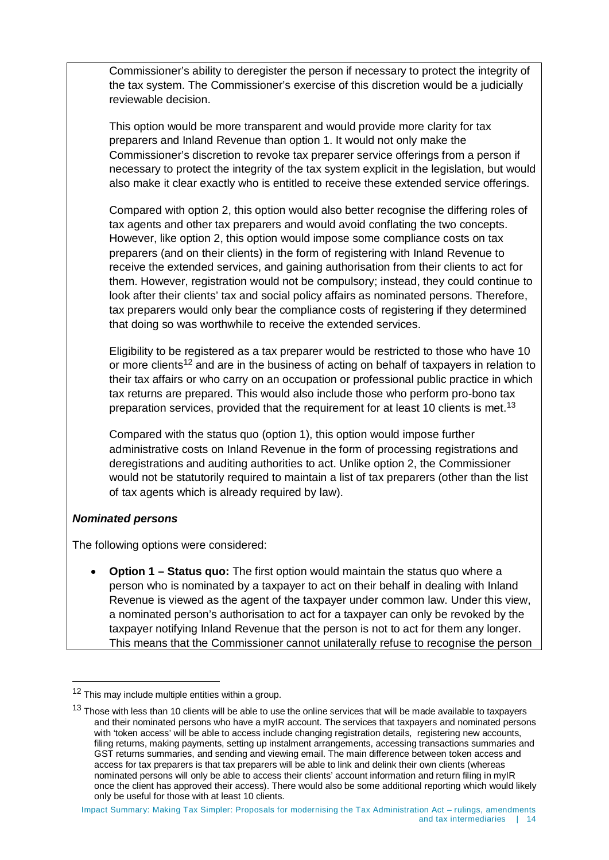Commissioner's ability to deregister the person if necessary to protect the integrity of the tax system. The Commissioner's exercise of this discretion would be a judicially reviewable decision.

This option would be more transparent and would provide more clarity for tax preparers and Inland Revenue than option 1. It would not only make the Commissioner's discretion to revoke tax preparer service offerings from a person if necessary to protect the integrity of the tax system explicit in the legislation, but would also make it clear exactly who is entitled to receive these extended service offerings.

Compared with option 2, this option would also better recognise the differing roles of tax agents and other tax preparers and would avoid conflating the two concepts. However, like option 2, this option would impose some compliance costs on tax preparers (and on their clients) in the form of registering with Inland Revenue to receive the extended services, and gaining authorisation from their clients to act for them. However, registration would not be compulsory; instead, they could continue to look after their clients' tax and social policy affairs as nominated persons. Therefore, tax preparers would only bear the compliance costs of registering if they determined that doing so was worthwhile to receive the extended services.

Eligibility to be registered as a tax preparer would be restricted to those who have 10 or more clients<sup>[12](#page-13-0)</sup> and are in the business of acting on behalf of taxpayers in relation to their tax affairs or who carry on an occupation or professional public practice in which tax returns are prepared. This would also include those who perform pro-bono tax preparation services, provided that the requirement for at least 10 clients is met.<sup>[13](#page-13-1)</sup>

Compared with the status quo (option 1), this option would impose further administrative costs on Inland Revenue in the form of processing registrations and deregistrations and auditing authorities to act. Unlike option 2, the Commissioner would not be statutorily required to maintain a list of tax preparers (other than the list of tax agents which is already required by law).

#### *Nominated persons*

 $\ddot{\phantom{a}}$ 

The following options were considered:

• **Option 1 – Status quo:** The first option would maintain the status quo where a person who is nominated by a taxpayer to act on their behalf in dealing with Inland Revenue is viewed as the agent of the taxpayer under common law. Under this view, a nominated person's authorisation to act for a taxpayer can only be revoked by the taxpayer notifying Inland Revenue that the person is not to act for them any longer. This means that the Commissioner cannot unilaterally refuse to recognise the person

<span id="page-13-0"></span><sup>&</sup>lt;sup>12</sup> This may include multiple entities within a group.

<span id="page-13-1"></span> $13$  Those with less than 10 clients will be able to use the online services that will be made available to taxpayers and their nominated persons who have a myIR account. The services that taxpayers and nominated persons with 'token access' will be able to access include changing registration details, registering new accounts, filing returns, making payments, setting up instalment arrangements, accessing transactions summaries and GST returns summaries, and sending and viewing email. The main difference between token access and access for tax preparers is that tax preparers will be able to link and delink their own clients (whereas nominated persons will only be able to access their clients' account information and return filing in myIR once the client has approved their access). There would also be some additional reporting which would likely only be useful for those with at least 10 clients.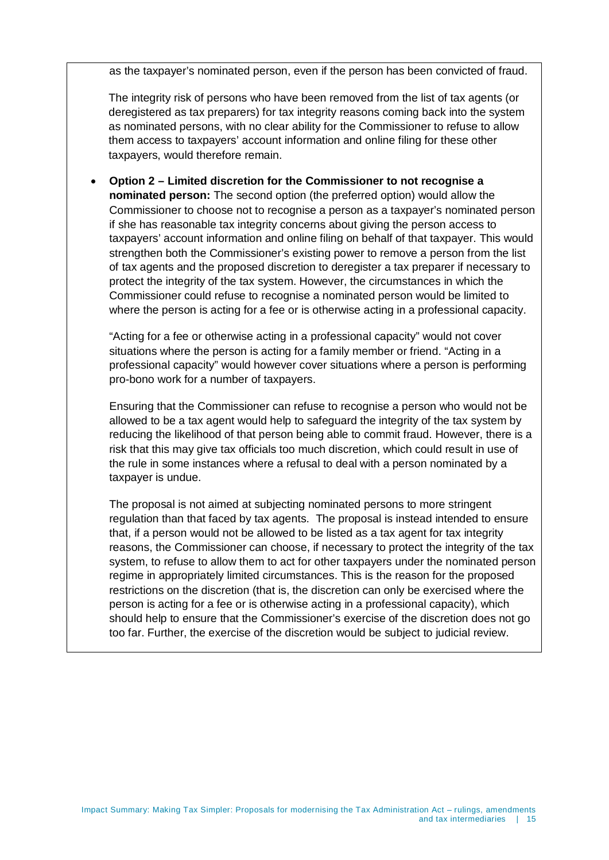as the taxpayer's nominated person, even if the person has been convicted of fraud.

The integrity risk of persons who have been removed from the list of tax agents (or deregistered as tax preparers) for tax integrity reasons coming back into the system as nominated persons, with no clear ability for the Commissioner to refuse to allow them access to taxpayers' account information and online filing for these other taxpayers, would therefore remain.

• **Option 2 – Limited discretion for the Commissioner to not recognise a nominated person:** The second option (the preferred option) would allow the Commissioner to choose not to recognise a person as a taxpayer's nominated person if she has reasonable tax integrity concerns about giving the person access to taxpayers' account information and online filing on behalf of that taxpayer. This would strengthen both the Commissioner's existing power to remove a person from the list of tax agents and the proposed discretion to deregister a tax preparer if necessary to protect the integrity of the tax system. However, the circumstances in which the Commissioner could refuse to recognise a nominated person would be limited to where the person is acting for a fee or is otherwise acting in a professional capacity.

"Acting for a fee or otherwise acting in a professional capacity" would not cover situations where the person is acting for a family member or friend. "Acting in a professional capacity" would however cover situations where a person is performing pro-bono work for a number of taxpayers.

Ensuring that the Commissioner can refuse to recognise a person who would not be allowed to be a tax agent would help to safeguard the integrity of the tax system by reducing the likelihood of that person being able to commit fraud. However, there is a risk that this may give tax officials too much discretion, which could result in use of the rule in some instances where a refusal to deal with a person nominated by a taxpayer is undue.

The proposal is not aimed at subjecting nominated persons to more stringent regulation than that faced by tax agents. The proposal is instead intended to ensure that, if a person would not be allowed to be listed as a tax agent for tax integrity reasons, the Commissioner can choose, if necessary to protect the integrity of the tax system, to refuse to allow them to act for other taxpayers under the nominated person regime in appropriately limited circumstances. This is the reason for the proposed restrictions on the discretion (that is, the discretion can only be exercised where the person is acting for a fee or is otherwise acting in a professional capacity), which should help to ensure that the Commissioner's exercise of the discretion does not go too far. Further, the exercise of the discretion would be subject to judicial review.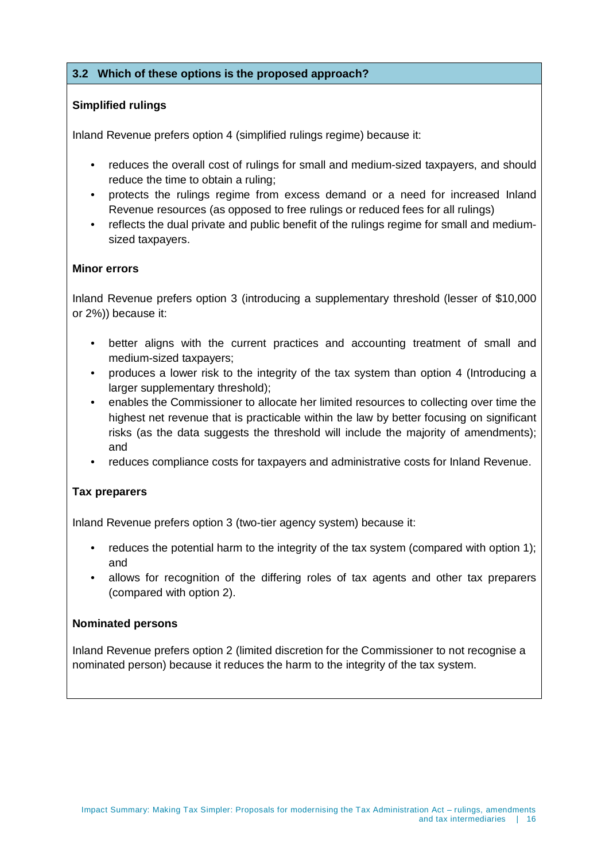#### **3.2 Which of these options is the proposed approach?**

#### **Simplified rulings**

Inland Revenue prefers option 4 (simplified rulings regime) because it:

- reduces the overall cost of rulings for small and medium-sized taxpayers, and should reduce the time to obtain a ruling;
- protects the rulings regime from excess demand or a need for increased Inland Revenue resources (as opposed to free rulings or reduced fees for all rulings)
- reflects the dual private and public benefit of the rulings regime for small and mediumsized taxpayers.

#### **Minor errors**

Inland Revenue prefers option 3 (introducing a supplementary threshold (lesser of \$10,000 or 2%)) because it:

- better aligns with the current practices and accounting treatment of small and medium-sized taxpayers;
- produces a lower risk to the integrity of the tax system than option 4 (Introducing a larger supplementary threshold);
- enables the Commissioner to allocate her limited resources to collecting over time the highest net revenue that is practicable within the law by better focusing on significant risks (as the data suggests the threshold will include the majority of amendments); and
- reduces compliance costs for taxpayers and administrative costs for Inland Revenue.

#### **Tax preparers**

Inland Revenue prefers option 3 (two-tier agency system) because it:

- reduces the potential harm to the integrity of the tax system (compared with option 1); and
- allows for recognition of the differing roles of tax agents and other tax preparers (compared with option 2).

#### **Nominated persons**

Inland Revenue prefers option 2 (limited discretion for the Commissioner to not recognise a nominated person) because it reduces the harm to the integrity of the tax system.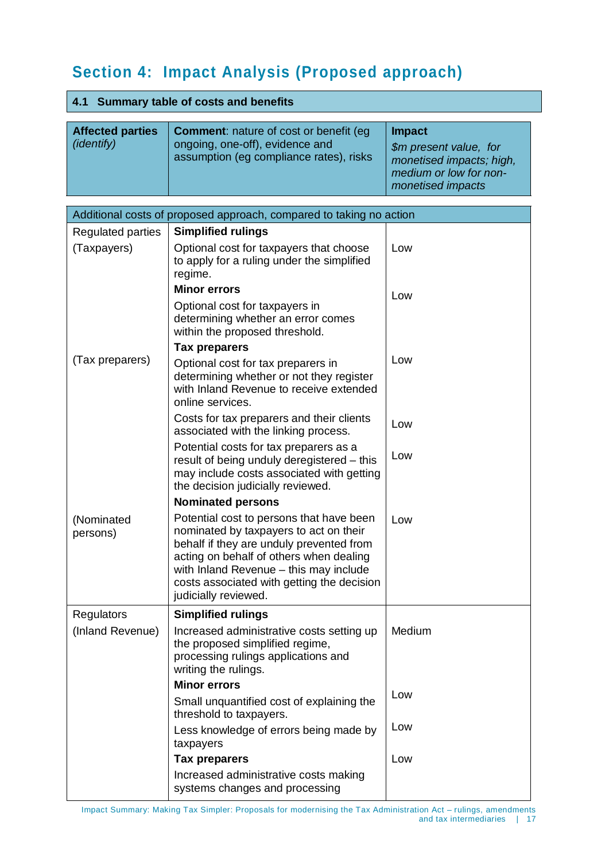# **Section 4: Impact Analysis (Proposed approach)**

| 4.1 Summary table of costs and benefits                             |                                                                                                                                                                                                                                                                                           |                                                                                                                    |  |  |  |
|---------------------------------------------------------------------|-------------------------------------------------------------------------------------------------------------------------------------------------------------------------------------------------------------------------------------------------------------------------------------------|--------------------------------------------------------------------------------------------------------------------|--|--|--|
| <b>Affected parties</b><br>( <i>identify</i> )                      | <b>Comment:</b> nature of cost or benefit (eg<br>ongoing, one-off), evidence and<br>assumption (eg compliance rates), risks                                                                                                                                                               | <b>Impact</b><br>\$m present value, for<br>monetised impacts; high,<br>medium or low for non-<br>monetised impacts |  |  |  |
| Additional costs of proposed approach, compared to taking no action |                                                                                                                                                                                                                                                                                           |                                                                                                                    |  |  |  |
| <b>Regulated parties</b>                                            | <b>Simplified rulings</b>                                                                                                                                                                                                                                                                 |                                                                                                                    |  |  |  |
| (Taxpayers)                                                         | Optional cost for taxpayers that choose<br>to apply for a ruling under the simplified<br>regime.                                                                                                                                                                                          | Low                                                                                                                |  |  |  |
|                                                                     | <b>Minor errors</b>                                                                                                                                                                                                                                                                       | Low                                                                                                                |  |  |  |
|                                                                     | Optional cost for taxpayers in<br>determining whether an error comes<br>within the proposed threshold.                                                                                                                                                                                    |                                                                                                                    |  |  |  |
|                                                                     | <b>Tax preparers</b>                                                                                                                                                                                                                                                                      |                                                                                                                    |  |  |  |
| (Tax preparers)                                                     | Optional cost for tax preparers in<br>determining whether or not they register<br>with Inland Revenue to receive extended<br>online services.                                                                                                                                             | Low                                                                                                                |  |  |  |
|                                                                     | Costs for tax preparers and their clients<br>associated with the linking process.                                                                                                                                                                                                         | Low                                                                                                                |  |  |  |
|                                                                     | Potential costs for tax preparers as a<br>result of being unduly deregistered - this<br>may include costs associated with getting<br>the decision judicially reviewed.                                                                                                                    | Low                                                                                                                |  |  |  |
|                                                                     | <b>Nominated persons</b>                                                                                                                                                                                                                                                                  |                                                                                                                    |  |  |  |
| (Nominated<br>persons)                                              | Potential cost to persons that have been<br>nominated by taxpayers to act on their<br>behalf if they are unduly prevented from<br>acting on behalf of others when dealing<br>with Inland Revenue - this may include<br>costs associated with getting the decision<br>judicially reviewed. | Low                                                                                                                |  |  |  |
| <b>Regulators</b>                                                   | <b>Simplified rulings</b>                                                                                                                                                                                                                                                                 |                                                                                                                    |  |  |  |
| (Inland Revenue)                                                    | Increased administrative costs setting up<br>the proposed simplified regime,<br>processing rulings applications and<br>writing the rulings.                                                                                                                                               | Medium                                                                                                             |  |  |  |
|                                                                     | <b>Minor errors</b>                                                                                                                                                                                                                                                                       |                                                                                                                    |  |  |  |
|                                                                     | Small unquantified cost of explaining the<br>threshold to taxpayers.                                                                                                                                                                                                                      | Low                                                                                                                |  |  |  |
|                                                                     | Less knowledge of errors being made by<br>taxpayers                                                                                                                                                                                                                                       | Low                                                                                                                |  |  |  |
|                                                                     | <b>Tax preparers</b>                                                                                                                                                                                                                                                                      | Low                                                                                                                |  |  |  |

Increased administrative costs making systems changes and processing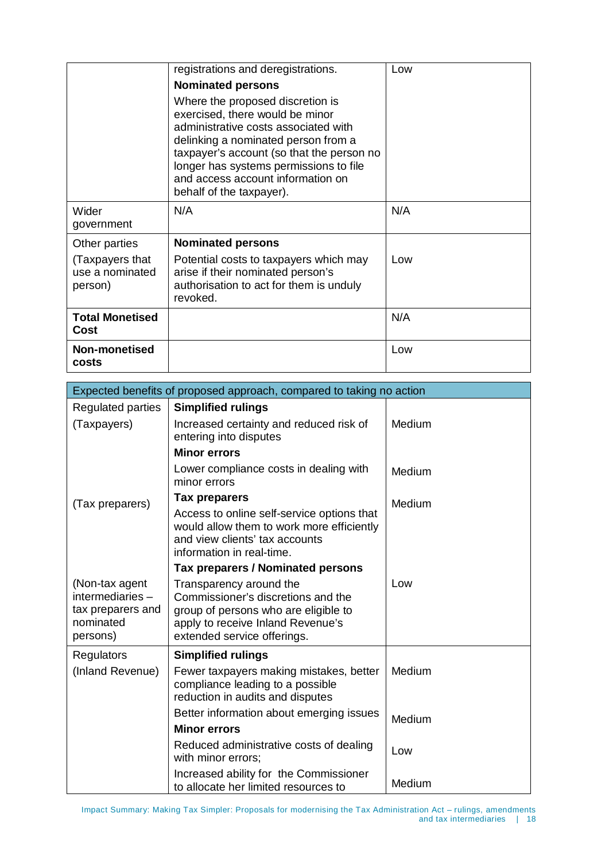|                                               | registrations and deregistrations.<br><b>Nominated persons</b>                                                                                                                                                                                                                                             | Low |
|-----------------------------------------------|------------------------------------------------------------------------------------------------------------------------------------------------------------------------------------------------------------------------------------------------------------------------------------------------------------|-----|
|                                               | Where the proposed discretion is<br>exercised, there would be minor<br>administrative costs associated with<br>delinking a nominated person from a<br>taxpayer's account (so that the person no<br>longer has systems permissions to file<br>and access account information on<br>behalf of the taxpayer). |     |
| Wider<br>government                           | N/A                                                                                                                                                                                                                                                                                                        | N/A |
| Other parties                                 | <b>Nominated persons</b>                                                                                                                                                                                                                                                                                   |     |
| (Taxpayers that<br>use a nominated<br>person) | Potential costs to taxpayers which may<br>arise if their nominated person's<br>authorisation to act for them is unduly<br>revoked.                                                                                                                                                                         | Low |
| <b>Total Monetised</b><br>Cost                |                                                                                                                                                                                                                                                                                                            | N/A |
| Non-monetised<br>costs                        |                                                                                                                                                                                                                                                                                                            | Low |

| Expected benefits of proposed approach, compared to taking no action            |                                                                                                                                                                           |        |  |  |
|---------------------------------------------------------------------------------|---------------------------------------------------------------------------------------------------------------------------------------------------------------------------|--------|--|--|
| <b>Regulated parties</b>                                                        | <b>Simplified rulings</b>                                                                                                                                                 |        |  |  |
| (Taxpayers)                                                                     | Increased certainty and reduced risk of<br>entering into disputes                                                                                                         | Medium |  |  |
|                                                                                 | <b>Minor errors</b>                                                                                                                                                       |        |  |  |
| (Tax preparers)                                                                 | Lower compliance costs in dealing with<br>minor errors                                                                                                                    | Medium |  |  |
|                                                                                 | Tax preparers                                                                                                                                                             | Medium |  |  |
|                                                                                 | Access to online self-service options that<br>would allow them to work more efficiently<br>and view clients' tax accounts<br>information in real-time.                    |        |  |  |
|                                                                                 | Tax preparers / Nominated persons                                                                                                                                         |        |  |  |
| (Non-tax agent<br>intermediaries-<br>tax preparers and<br>nominated<br>persons) | Transparency around the<br>Commissioner's discretions and the<br>group of persons who are eligible to<br>apply to receive Inland Revenue's<br>extended service offerings. | Low    |  |  |
| <b>Regulators</b>                                                               | <b>Simplified rulings</b>                                                                                                                                                 |        |  |  |
| (Inland Revenue)                                                                | Fewer taxpayers making mistakes, better<br>compliance leading to a possible<br>reduction in audits and disputes                                                           | Medium |  |  |
|                                                                                 | Better information about emerging issues                                                                                                                                  | Medium |  |  |
|                                                                                 | <b>Minor errors</b>                                                                                                                                                       |        |  |  |
|                                                                                 | Reduced administrative costs of dealing<br>with minor errors;                                                                                                             | Low    |  |  |
|                                                                                 | Increased ability for the Commissioner<br>to allocate her limited resources to                                                                                            | Medium |  |  |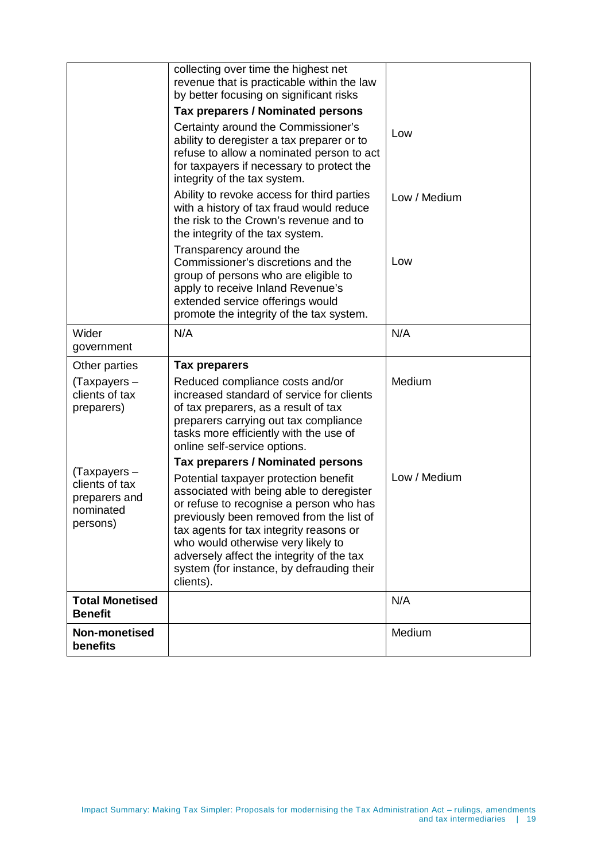|                                                                             | collecting over time the highest net<br>revenue that is practicable within the law<br>by better focusing on significant risks<br>Tax preparers / Nominated persons                                                                                                                                                                                               |              |
|-----------------------------------------------------------------------------|------------------------------------------------------------------------------------------------------------------------------------------------------------------------------------------------------------------------------------------------------------------------------------------------------------------------------------------------------------------|--------------|
|                                                                             | Certainty around the Commissioner's<br>ability to deregister a tax preparer or to<br>refuse to allow a nominated person to act<br>for taxpayers if necessary to protect the<br>integrity of the tax system.                                                                                                                                                      | Low          |
|                                                                             | Ability to revoke access for third parties<br>with a history of tax fraud would reduce<br>the risk to the Crown's revenue and to<br>the integrity of the tax system.                                                                                                                                                                                             | Low / Medium |
|                                                                             | Transparency around the<br>Commissioner's discretions and the<br>group of persons who are eligible to<br>apply to receive Inland Revenue's<br>extended service offerings would<br>promote the integrity of the tax system.                                                                                                                                       | Low          |
| Wider<br>government                                                         | N/A                                                                                                                                                                                                                                                                                                                                                              | N/A          |
| Other parties                                                               | <b>Tax preparers</b>                                                                                                                                                                                                                                                                                                                                             |              |
| (Taxpayers -<br>clients of tax<br>preparers)                                | Reduced compliance costs and/or<br>increased standard of service for clients<br>of tax preparers, as a result of tax<br>preparers carrying out tax compliance<br>tasks more efficiently with the use of<br>online self-service options.                                                                                                                          | Medium       |
|                                                                             | <b>Tax preparers / Nominated persons</b>                                                                                                                                                                                                                                                                                                                         |              |
| $(Tax$ payers –<br>clients of tax<br>preparers and<br>nominated<br>persons) | Potential taxpayer protection benefit<br>associated with being able to deregister<br>or refuse to recognise a person who has<br>previously been removed from the list of<br>tax agents for tax integrity reasons or<br>who would otherwise very likely to<br>adversely affect the integrity of the tax<br>system (for instance, by defrauding their<br>clients). | Low / Medium |
| <b>Total Monetised</b><br><b>Benefit</b>                                    |                                                                                                                                                                                                                                                                                                                                                                  | N/A          |
| Non-monetised<br>benefits                                                   |                                                                                                                                                                                                                                                                                                                                                                  | Medium       |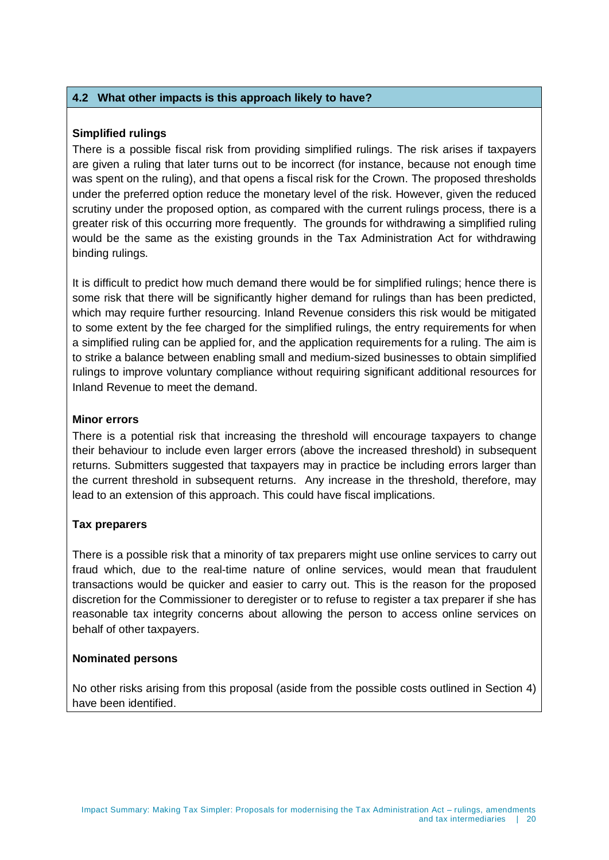#### **4.2 What other impacts is this approach likely to have?**

#### **Simplified rulings**

There is a possible fiscal risk from providing simplified rulings. The risk arises if taxpayers are given a ruling that later turns out to be incorrect (for instance, because not enough time was spent on the ruling), and that opens a fiscal risk for the Crown. The proposed thresholds under the preferred option reduce the monetary level of the risk. However, given the reduced scrutiny under the proposed option, as compared with the current rulings process, there is a greater risk of this occurring more frequently. The grounds for withdrawing a simplified ruling would be the same as the existing grounds in the Tax Administration Act for withdrawing binding rulings.

It is difficult to predict how much demand there would be for simplified rulings; hence there is some risk that there will be significantly higher demand for rulings than has been predicted, which may require further resourcing. Inland Revenue considers this risk would be mitigated to some extent by the fee charged for the simplified rulings, the entry requirements for when a simplified ruling can be applied for, and the application requirements for a ruling. The aim is to strike a balance between enabling small and medium-sized businesses to obtain simplified rulings to improve voluntary compliance without requiring significant additional resources for Inland Revenue to meet the demand.

#### **Minor errors**

There is a potential risk that increasing the threshold will encourage taxpayers to change their behaviour to include even larger errors (above the increased threshold) in subsequent returns. Submitters suggested that taxpayers may in practice be including errors larger than the current threshold in subsequent returns. Any increase in the threshold, therefore, may lead to an extension of this approach. This could have fiscal implications.

#### **Tax preparers**

There is a possible risk that a minority of tax preparers might use online services to carry out fraud which, due to the real-time nature of online services, would mean that fraudulent transactions would be quicker and easier to carry out. This is the reason for the proposed discretion for the Commissioner to deregister or to refuse to register a tax preparer if she has reasonable tax integrity concerns about allowing the person to access online services on behalf of other taxpayers.

#### **Nominated persons**

No other risks arising from this proposal (aside from the possible costs outlined in Section 4) have been identified.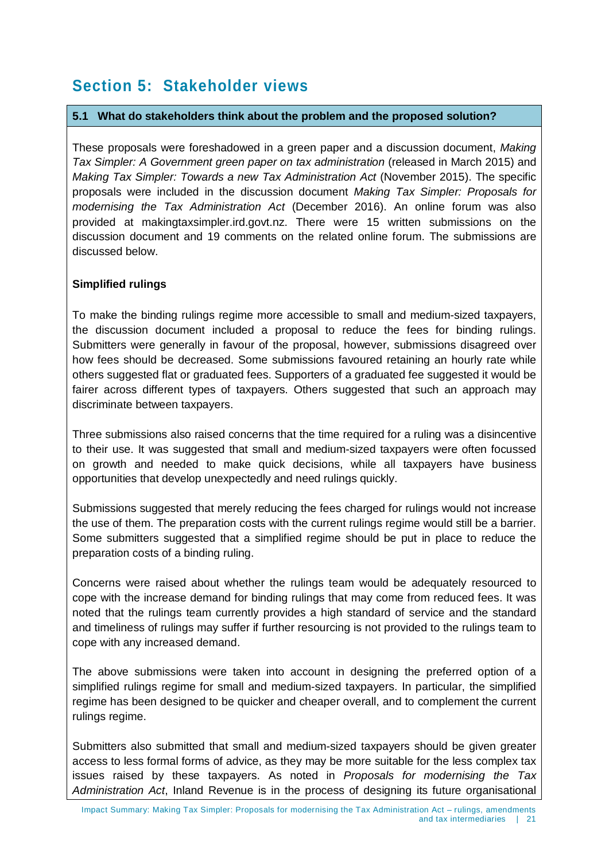# **Section 5: Stakeholder views**

#### **5.1 What do stakeholders think about the problem and the proposed solution?**

These proposals were foreshadowed in a green paper and a discussion document, *Making Tax Simpler: A Government green paper on tax administration* (released in March 2015) and *Making Tax Simpler: Towards a new Tax Administration Act* (November 2015). The specific proposals were included in the discussion document *Making Tax Simpler: Proposals for modernising the Tax Administration Act* (December 2016). An online forum was also provided at makingtaxsimpler.ird.govt.nz. There were 15 written submissions on the discussion document and 19 comments on the related online forum. The submissions are discussed below.

#### **Simplified rulings**

To make the binding rulings regime more accessible to small and medium-sized taxpayers, the discussion document included a proposal to reduce the fees for binding rulings. Submitters were generally in favour of the proposal, however, submissions disagreed over how fees should be decreased. Some submissions favoured retaining an hourly rate while others suggested flat or graduated fees. Supporters of a graduated fee suggested it would be fairer across different types of taxpayers. Others suggested that such an approach may discriminate between taxpayers.

Three submissions also raised concerns that the time required for a ruling was a disincentive to their use. It was suggested that small and medium-sized taxpayers were often focussed on growth and needed to make quick decisions, while all taxpayers have business opportunities that develop unexpectedly and need rulings quickly.

Submissions suggested that merely reducing the fees charged for rulings would not increase the use of them. The preparation costs with the current rulings regime would still be a barrier. Some submitters suggested that a simplified regime should be put in place to reduce the preparation costs of a binding ruling.

Concerns were raised about whether the rulings team would be adequately resourced to cope with the increase demand for binding rulings that may come from reduced fees. It was noted that the rulings team currently provides a high standard of service and the standard and timeliness of rulings may suffer if further resourcing is not provided to the rulings team to cope with any increased demand.

The above submissions were taken into account in designing the preferred option of a simplified rulings regime for small and medium-sized taxpayers. In particular, the simplified regime has been designed to be quicker and cheaper overall, and to complement the current rulings regime.

Submitters also submitted that small and medium-sized taxpayers should be given greater access to less formal forms of advice, as they may be more suitable for the less complex tax issues raised by these taxpayers. As noted in *Proposals for modernising the Tax Administration Act*, Inland Revenue is in the process of designing its future organisational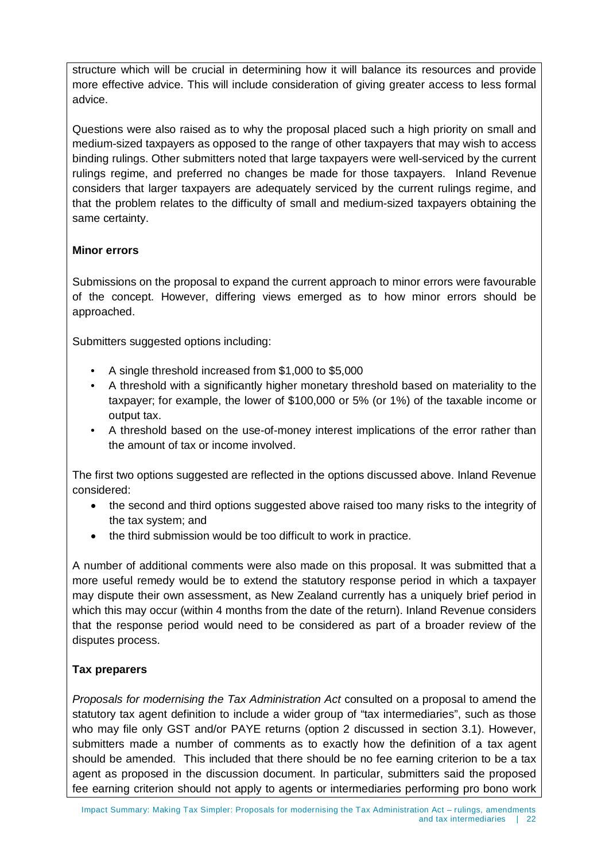structure which will be crucial in determining how it will balance its resources and provide more effective advice. This will include consideration of giving greater access to less formal advice.

Questions were also raised as to why the proposal placed such a high priority on small and medium-sized taxpayers as opposed to the range of other taxpayers that may wish to access binding rulings. Other submitters noted that large taxpayers were well-serviced by the current rulings regime, and preferred no changes be made for those taxpayers. Inland Revenue considers that larger taxpayers are adequately serviced by the current rulings regime, and that the problem relates to the difficulty of small and medium-sized taxpayers obtaining the same certainty.

#### **Minor errors**

Submissions on the proposal to expand the current approach to minor errors were favourable of the concept. However, differing views emerged as to how minor errors should be approached.

Submitters suggested options including:

- A single threshold increased from \$1,000 to \$5,000
- A threshold with a significantly higher monetary threshold based on materiality to the taxpayer; for example, the lower of \$100,000 or 5% (or 1%) of the taxable income or output tax.
- A threshold based on the use-of-money interest implications of the error rather than the amount of tax or income involved.

The first two options suggested are reflected in the options discussed above. Inland Revenue considered:

- the second and third options suggested above raised too many risks to the integrity of the tax system; and
- the third submission would be too difficult to work in practice.

A number of additional comments were also made on this proposal. It was submitted that a more useful remedy would be to extend the statutory response period in which a taxpayer may dispute their own assessment, as New Zealand currently has a uniquely brief period in which this may occur (within 4 months from the date of the return). Inland Revenue considers that the response period would need to be considered as part of a broader review of the disputes process.

#### **Tax preparers**

*Proposals for modernising the Tax Administration Act* consulted on a proposal to amend the statutory tax agent definition to include a wider group of "tax intermediaries", such as those who may file only GST and/or PAYE returns (option 2 discussed in section 3.1). However, submitters made a number of comments as to exactly how the definition of a tax agent should be amended. This included that there should be no fee earning criterion to be a tax agent as proposed in the discussion document. In particular, submitters said the proposed fee earning criterion should not apply to agents or intermediaries performing pro bono work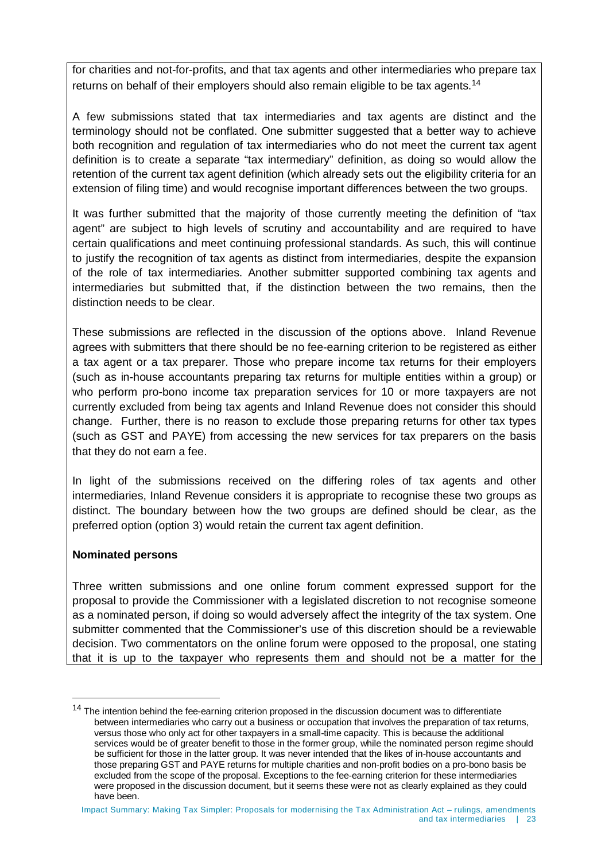for charities and not-for-profits, and that tax agents and other intermediaries who prepare tax returns on behalf of their employers should also remain eligible to be tax agents.<sup>[14](#page-22-0)</sup>

A few submissions stated that tax intermediaries and tax agents are distinct and the terminology should not be conflated. One submitter suggested that a better way to achieve both recognition and regulation of tax intermediaries who do not meet the current tax agent definition is to create a separate "tax intermediary" definition, as doing so would allow the retention of the current tax agent definition (which already sets out the eligibility criteria for an extension of filing time) and would recognise important differences between the two groups.

It was further submitted that the majority of those currently meeting the definition of "tax agent" are subject to high levels of scrutiny and accountability and are required to have certain qualifications and meet continuing professional standards. As such, this will continue to justify the recognition of tax agents as distinct from intermediaries, despite the expansion of the role of tax intermediaries. Another submitter supported combining tax agents and intermediaries but submitted that, if the distinction between the two remains, then the distinction needs to be clear.

These submissions are reflected in the discussion of the options above. Inland Revenue agrees with submitters that there should be no fee-earning criterion to be registered as either a tax agent or a tax preparer. Those who prepare income tax returns for their employers (such as in-house accountants preparing tax returns for multiple entities within a group) or who perform pro-bono income tax preparation services for 10 or more taxpayers are not currently excluded from being tax agents and Inland Revenue does not consider this should change. Further, there is no reason to exclude those preparing returns for other tax types (such as GST and PAYE) from accessing the new services for tax preparers on the basis that they do not earn a fee.

In light of the submissions received on the differing roles of tax agents and other intermediaries, Inland Revenue considers it is appropriate to recognise these two groups as distinct. The boundary between how the two groups are defined should be clear, as the preferred option (option 3) would retain the current tax agent definition.

#### **Nominated persons**

-

Three written submissions and one online forum comment expressed support for the proposal to provide the Commissioner with a legislated discretion to not recognise someone as a nominated person, if doing so would adversely affect the integrity of the tax system. One submitter commented that the Commissioner's use of this discretion should be a reviewable decision. Two commentators on the online forum were opposed to the proposal, one stating that it is up to the taxpayer who represents them and should not be a matter for the

<span id="page-22-0"></span><sup>&</sup>lt;sup>14</sup> The intention behind the fee-earning criterion proposed in the discussion document was to differentiate between intermediaries who carry out a business or occupation that involves the preparation of tax returns, versus those who only act for other taxpayers in a small-time capacity. This is because the additional services would be of greater benefit to those in the former group, while the nominated person regime should be sufficient for those in the latter group. It was never intended that the likes of in-house accountants and those preparing GST and PAYE returns for multiple charities and non-profit bodies on a pro-bono basis be excluded from the scope of the proposal. Exceptions to the fee-earning criterion for these intermediaries were proposed in the discussion document, but it seems these were not as clearly explained as they could have been.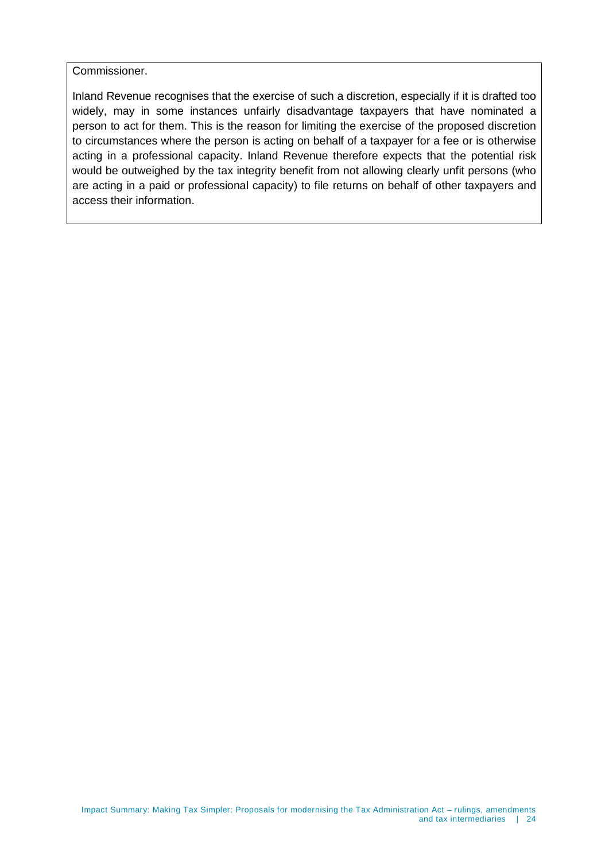Commissioner.

Inland Revenue recognises that the exercise of such a discretion, especially if it is drafted too widely, may in some instances unfairly disadvantage taxpayers that have nominated a person to act for them. This is the reason for limiting the exercise of the proposed discretion to circumstances where the person is acting on behalf of a taxpayer for a fee or is otherwise acting in a professional capacity. Inland Revenue therefore expects that the potential risk would be outweighed by the tax integrity benefit from not allowing clearly unfit persons (who are acting in a paid or professional capacity) to file returns on behalf of other taxpayers and access their information.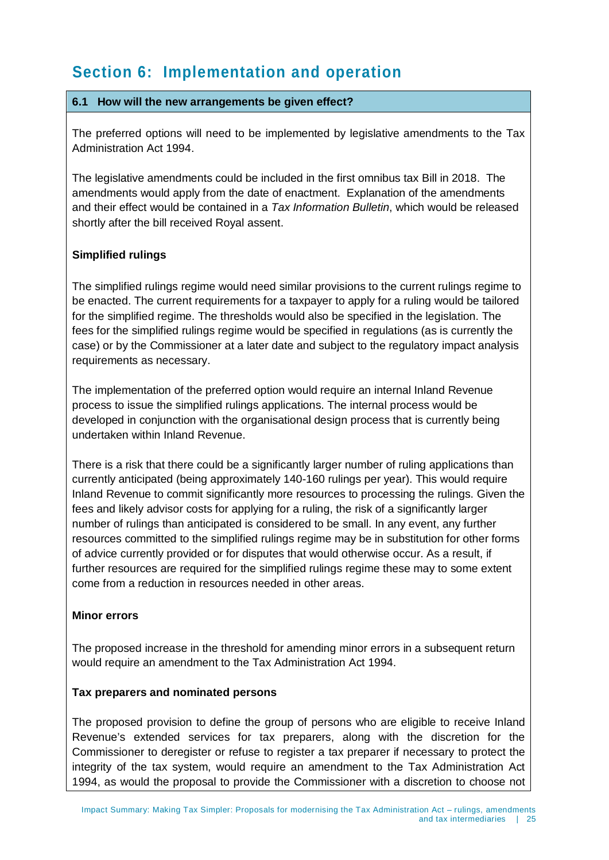# **Section 6: Implementation and operation**

#### **6.1 How will the new arrangements be given effect?**

The preferred options will need to be implemented by legislative amendments to the Tax Administration Act 1994.

The legislative amendments could be included in the first omnibus tax Bill in 2018. The amendments would apply from the date of enactment. Explanation of the amendments and their effect would be contained in a *Tax Information Bulletin*, which would be released shortly after the bill received Royal assent.

#### **Simplified rulings**

The simplified rulings regime would need similar provisions to the current rulings regime to be enacted. The current requirements for a taxpayer to apply for a ruling would be tailored for the simplified regime. The thresholds would also be specified in the legislation. The fees for the simplified rulings regime would be specified in regulations (as is currently the case) or by the Commissioner at a later date and subject to the regulatory impact analysis requirements as necessary.

The implementation of the preferred option would require an internal Inland Revenue process to issue the simplified rulings applications. The internal process would be developed in conjunction with the organisational design process that is currently being undertaken within Inland Revenue.

There is a risk that there could be a significantly larger number of ruling applications than currently anticipated (being approximately 140-160 rulings per year). This would require Inland Revenue to commit significantly more resources to processing the rulings. Given the fees and likely advisor costs for applying for a ruling, the risk of a significantly larger number of rulings than anticipated is considered to be small. In any event, any further resources committed to the simplified rulings regime may be in substitution for other forms of advice currently provided or for disputes that would otherwise occur. As a result, if further resources are required for the simplified rulings regime these may to some extent come from a reduction in resources needed in other areas.

#### **Minor errors**

The proposed increase in the threshold for amending minor errors in a subsequent return would require an amendment to the Tax Administration Act 1994.

#### **Tax preparers and nominated persons**

The proposed provision to define the group of persons who are eligible to receive Inland Revenue's extended services for tax preparers, along with the discretion for the Commissioner to deregister or refuse to register a tax preparer if necessary to protect the integrity of the tax system, would require an amendment to the Tax Administration Act 1994, as would the proposal to provide the Commissioner with a discretion to choose not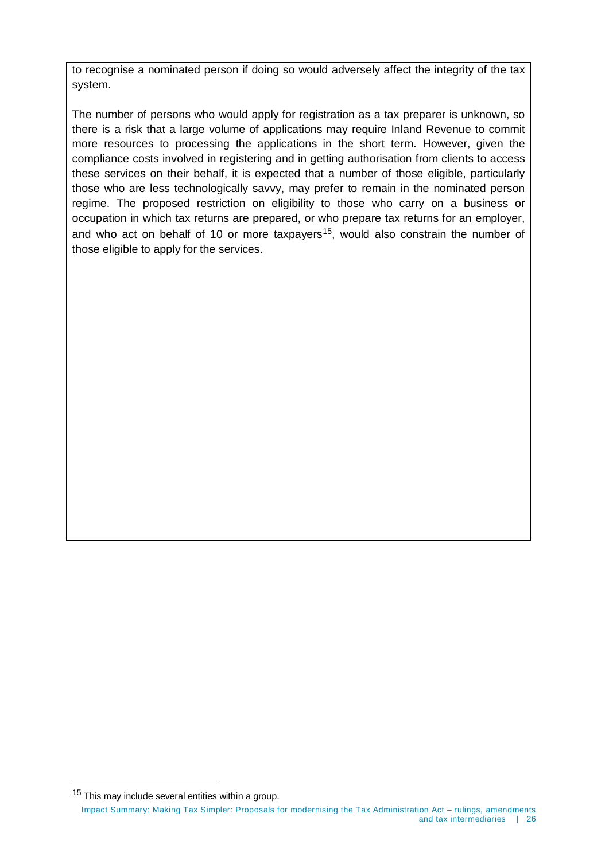to recognise a nominated person if doing so would adversely affect the integrity of the tax system.

The number of persons who would apply for registration as a tax preparer is unknown, so there is a risk that a large volume of applications may require Inland Revenue to commit more resources to processing the applications in the short term. However, given the compliance costs involved in registering and in getting authorisation from clients to access these services on their behalf, it is expected that a number of those eligible, particularly those who are less technologically savvy, may prefer to remain in the nominated person regime. The proposed restriction on eligibility to those who carry on a business or occupation in which tax returns are prepared, or who prepare tax returns for an employer, and who act on behalf of 10 or more taxpayers<sup>[15](#page-25-0)</sup>, would also constrain the number of those eligible to apply for the services.

<span id="page-25-0"></span>-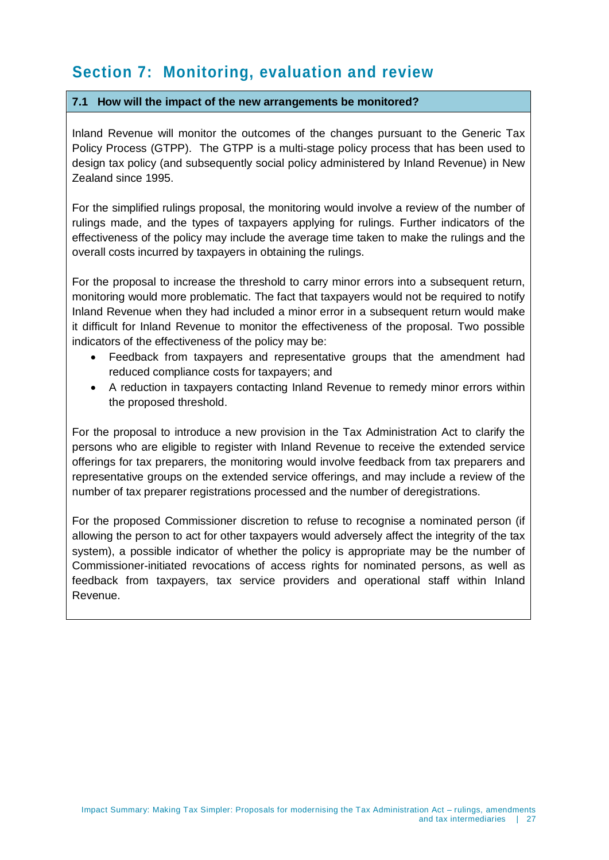### **Section 7: Monitoring, evaluation and review**

#### **7.1 How will the impact of the new arrangements be monitored?**

Inland Revenue will monitor the outcomes of the changes pursuant to the Generic Tax Policy Process (GTPP). The GTPP is a multi-stage policy process that has been used to design tax policy (and subsequently social policy administered by Inland Revenue) in New Zealand since 1995.

For the simplified rulings proposal, the monitoring would involve a review of the number of rulings made, and the types of taxpayers applying for rulings. Further indicators of the effectiveness of the policy may include the average time taken to make the rulings and the overall costs incurred by taxpayers in obtaining the rulings.

For the proposal to increase the threshold to carry minor errors into a subsequent return, monitoring would more problematic. The fact that taxpayers would not be required to notify Inland Revenue when they had included a minor error in a subsequent return would make it difficult for Inland Revenue to monitor the effectiveness of the proposal. Two possible indicators of the effectiveness of the policy may be:

- Feedback from taxpayers and representative groups that the amendment had reduced compliance costs for taxpayers; and
- A reduction in taxpayers contacting Inland Revenue to remedy minor errors within the proposed threshold.

For the proposal to introduce a new provision in the Tax Administration Act to clarify the persons who are eligible to register with Inland Revenue to receive the extended service offerings for tax preparers, the monitoring would involve feedback from tax preparers and representative groups on the extended service offerings, and may include a review of the number of tax preparer registrations processed and the number of deregistrations.

For the proposed Commissioner discretion to refuse to recognise a nominated person (if allowing the person to act for other taxpayers would adversely affect the integrity of the tax system), a possible indicator of whether the policy is appropriate may be the number of Commissioner-initiated revocations of access rights for nominated persons, as well as feedback from taxpayers, tax service providers and operational staff within Inland Revenue.